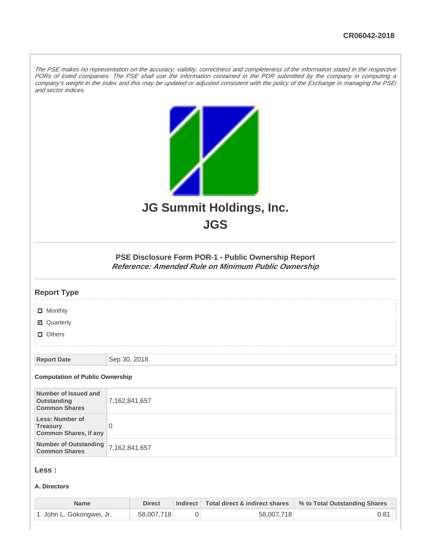The PSE makes no representation on the accuracy, validity, correctness and completeness of the information stated in the respective PORs of listed companies. The PSE shall use the information contained in the POR submitted by the company in computing a company's weight in the index and this may be updated or adjusted consistent with the policy of the Exchange in managing the PSEi and sector indices.

|                                                                    | JG Summit Holdings, Inc.<br><b>JGS</b>                                                                     |  |  |  |
|--------------------------------------------------------------------|------------------------------------------------------------------------------------------------------------|--|--|--|
|                                                                    | PSE Disclosure Form POR-1 - Public Ownership Report<br>Reference: Amended Rule on Minimum Public Ownership |  |  |  |
| <b>Report Type</b>                                                 |                                                                                                            |  |  |  |
| $\Box$ Monthly                                                     |                                                                                                            |  |  |  |
| ■ Quarterly                                                        |                                                                                                            |  |  |  |
| $\Box$ Others                                                      |                                                                                                            |  |  |  |
| <b>Report Date</b>                                                 | Sep 30, 2018                                                                                               |  |  |  |
| <b>Computation of Public Ownership</b>                             |                                                                                                            |  |  |  |
| Number of Issued and<br>Outstanding<br><b>Common Shares</b>        | 7,162,841,657                                                                                              |  |  |  |
| Less: Number of<br><b>Treasury</b><br><b>Common Shares, if any</b> | $\mathbf 0$                                                                                                |  |  |  |
| <b>Number of Outstanding</b><br><b>Common Shares</b>               | 7,162,841,657                                                                                              |  |  |  |
| Less :                                                             |                                                                                                            |  |  |  |

#### **A. Directors**

| <b>Name</b>               | <b>Direct</b> | Indirect Total direct & indirect shares | % to Total Outstanding Shares |
|---------------------------|---------------|-----------------------------------------|-------------------------------|
| 1. John L. Gokongwei, Jr. | 58,007,718    | 58,007,718                              | $0.81$ $\mid$                 |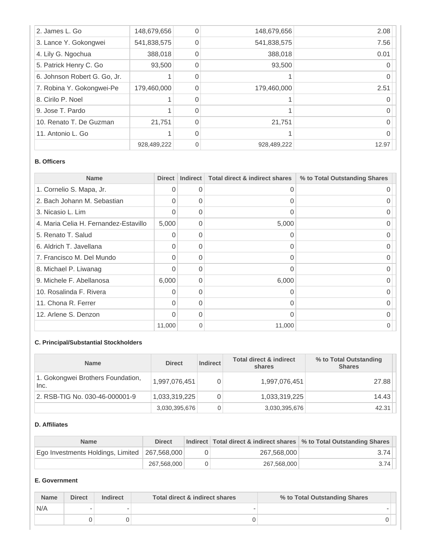| 2. James L. Go               | 148,679,656 | $\Omega$ | 148,679,656 | 2.08     |
|------------------------------|-------------|----------|-------------|----------|
| 3. Lance Y. Gokongwei        | 541,838,575 | 0        | 541,838,575 | 7.56     |
| 4. Lily G. Ngochua           | 388,018     | 0        | 388,018     | 0.01     |
| 5. Patrick Henry C. Go       | 93,500      | $\Omega$ | 93,500      |          |
| 6. Johnson Robert G. Go, Jr. |             | 0        |             |          |
| 7. Robina Y. Gokongwei-Pe    | 179,460,000 | 0        | 179,460,000 | 2.51     |
| 8. Cirilo P. Noel            |             | 0        |             |          |
| 9. Jose T. Pardo             |             | 0        |             | Ω        |
| 10. Renato T. De Guzman      | 21,751      | $\Omega$ | 21,751      |          |
| 11. Antonio L. Go            |             | 0        |             | $\Omega$ |
|                              | 928,489,222 | $\Omega$ | 928,489,222 | 12.97    |

#### **B. Officers**

| <b>Name</b>                           | <b>Direct</b> | <b>Indirect</b> | <b>Total direct &amp; indirect shares</b> | % to Total Outstanding Shares |
|---------------------------------------|---------------|-----------------|-------------------------------------------|-------------------------------|
| 1. Cornelio S. Mapa, Jr.              | 0             | 0               | 0                                         |                               |
| 2. Bach Johann M. Sebastian           | 0             | 0               | 0                                         |                               |
| 3. Nicasio L. Lim                     | <sup>0</sup>  | $\Omega$        | $\Omega$                                  |                               |
| 4. Maria Celia H. Fernandez-Estavillo | 5,000         | $\Omega$        | 5,000                                     |                               |
| 5. Renato T. Salud                    | 0             | $\Omega$        | 0                                         |                               |
| 6. Aldrich T. Javellana               | <sup>0</sup>  | $\Omega$        | $\Omega$                                  |                               |
| 7. Francisco M. Del Mundo             | 0             | $\Omega$        | $\Omega$                                  |                               |
| 8. Michael P. Liwanag                 | 0             | 0               | 0                                         |                               |
| 9. Michele F. Abellanosa              | 6,000         | $\Omega$        | 6,000                                     |                               |
| 10. Rosalinda F. Rivera               | $\Omega$      | $\Omega$        | $\Omega$                                  |                               |
| 11. Chona R. Ferrer                   | $\Omega$      | 0               | 0                                         |                               |
| 12. Arlene S. Denzon                  | <sup>0</sup>  | $\Omega$        | $\Omega$                                  |                               |
|                                       | 11,000        | $\overline{0}$  | 11,000                                    |                               |

# **C. Principal/Substantial Stockholders**

| <b>Name</b>                               | <b>Direct</b> | <b>Indirect</b> | <b>Total direct &amp; indirect</b><br>shares | % to Total Outstanding<br><b>Shares</b> |
|-------------------------------------------|---------------|-----------------|----------------------------------------------|-----------------------------------------|
| 1. Gokongwei Brothers Foundation,<br>Inc. | 1,997,076,451 | 0               | 1,997,076,451                                | 27.88                                   |
| 2. RSB-TIG No. 030-46-000001-9            | 1,033,319,225 | 0               | 1,033,319,225                                | 14.43                                   |
|                                           | 3,030,395,676 | 0               | 3,030,395,676                                | 42.31                                   |

### **D. Affiliates**

| <b>Name</b>                                     | <b>Direct</b> |             | Indirect   Total direct & indirect shares   % to Total Outstanding Shares |
|-------------------------------------------------|---------------|-------------|---------------------------------------------------------------------------|
| Ego Investments Holdings, Limited   267,568,000 |               | 267,568,000 | 3.74                                                                      |
|                                                 | 267,568,000   | 267,568,000 | 3.74                                                                      |

### **E. Government**

| <b>Name</b> | <b>Direct</b> | <b>Indirect</b> | Total direct & indirect shares | % to Total Outstanding Shares |
|-------------|---------------|-----------------|--------------------------------|-------------------------------|
| N/A         |               |                 |                                |                               |
|             |               |                 |                                |                               |